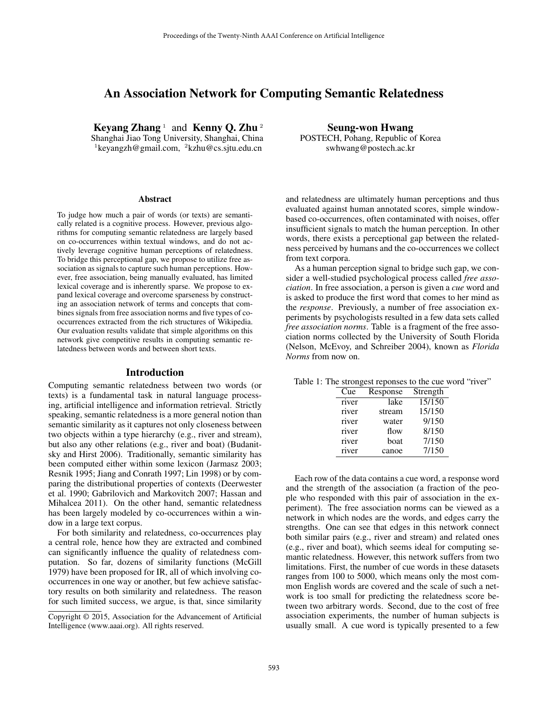# An Association Network for Computing Semantic Relatedness

Keyang Zhang  $1$  and Kenny Q. Zhu  $2$ Shanghai Jiao Tong University, Shanghai, China  $1$ keyangzh@gmail.com,  $2$ kzhu@cs.sjtu.edu.cn

#### **Abstract**

To judge how much a pair of words (or texts) are semantically related is a cognitive process. However, previous algorithms for computing semantic relatedness are largely based on co-occurrences within textual windows, and do not actively leverage cognitive human perceptions of relatedness. To bridge this perceptional gap, we propose to utilize free association as signals to capture such human perceptions. However, free association, being manually evaluated, has limited lexical coverage and is inherently sparse. We propose to expand lexical coverage and overcome sparseness by constructing an association network of terms and concepts that combines signals from free association norms and five types of cooccurrences extracted from the rich structures of Wikipedia. Our evaluation results validate that simple algorithms on this network give competitive results in computing semantic relatedness between words and between short texts.

## Introduction

Computing semantic relatedness between two words (or texts) is a fundamental task in natural language processing, artificial intelligence and information retrieval. Strictly speaking, semantic relatedness is a more general notion than semantic similarity as it captures not only closeness between two objects within a type hierarchy (e.g., river and stream), but also any other relations (e.g., river and boat) (Budanitsky and Hirst 2006). Traditionally, semantic similarity has been computed either within some lexicon (Jarmasz 2003; Resnik 1995; Jiang and Conrath 1997; Lin 1998) or by comparing the distributional properties of contexts (Deerwester et al. 1990; Gabrilovich and Markovitch 2007; Hassan and Mihalcea 2011). On the other hand, semantic relatedness has been largely modeled by co-occurrences within a window in a large text corpus.

For both similarity and relatedness, co-occurrences play a central role, hence how they are extracted and combined can significantly influence the quality of relatedness computation. So far, dozens of similarity functions (McGill 1979) have been proposed for IR, all of which involving cooccurrences in one way or another, but few achieve satisfactory results on both similarity and relatedness. The reason for such limited success, we argue, is that, since similarity

Seung-won Hwang POSTECH, Pohang, Republic of Korea swhwang@postech.ac.kr

and relatedness are ultimately human perceptions and thus evaluated against human annotated scores, simple windowbased co-occurrences, often contaminated with noises, offer insufficient signals to match the human perception. In other words, there exists a perceptional gap between the relatedness perceived by humans and the co-occurrences we collect from text corpora.

As a human perception signal to bridge such gap, we consider a well-studied psychological process called *free association*. In free association, a person is given a *cue* word and is asked to produce the first word that comes to her mind as the *response*. Previously, a number of free association experiments by psychologists resulted in a few data sets called *free association norms*. Table is a fragment of the free association norms collected by the University of South Florida (Nelson, McEvoy, and Schreiber 2004), known as *Florida Norms* from now on.

|  |  |  | Table 1: The strongest reponses to the cue word "river" |  |  |  |  |  |
|--|--|--|---------------------------------------------------------|--|--|--|--|--|
|--|--|--|---------------------------------------------------------|--|--|--|--|--|

| Cue   | Response | Strength |
|-------|----------|----------|
| river | lake     | 15/150   |
| river | stream   | 15/150   |
| river | water    | 9/150    |
| river | flow     | 8/150    |
| river | boat     | 7/150    |
| river | canoe    | 7/150    |

Each row of the data contains a cue word, a response word and the strength of the association (a fraction of the people who responded with this pair of association in the experiment). The free association norms can be viewed as a network in which nodes are the words, and edges carry the strengths. One can see that edges in this network connect both similar pairs (e.g., river and stream) and related ones (e.g., river and boat), which seems ideal for computing semantic relatedness. However, this network suffers from two limitations. First, the number of cue words in these datasets ranges from 100 to 5000, which means only the most common English words are covered and the scale of such a network is too small for predicting the relatedness score between two arbitrary words. Second, due to the cost of free association experiments, the number of human subjects is usually small. A cue word is typically presented to a few

Copyright © 2015, Association for the Advancement of Artificial Intelligence (www.aaai.org). All rights reserved.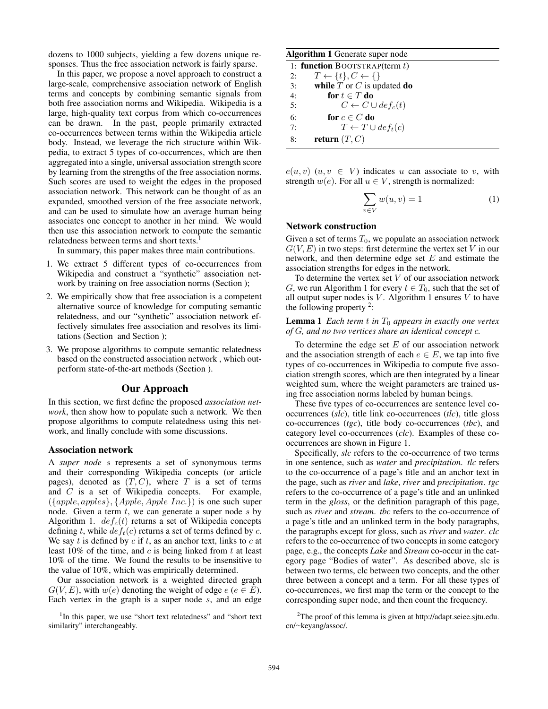dozens to 1000 subjects, yielding a few dozens unique responses. Thus the free association network is fairly sparse.

In this paper, we propose a novel approach to construct a large-scale, comprehensive association network of English terms and concepts by combining semantic signals from both free association norms and Wikipedia. Wikipedia is a large, high-quality text corpus from which co-occurrences can be drawn. In the past, people primarily extracted co-occurrences between terms within the Wikipedia article body. Instead, we leverage the rich structure within Wikpedia, to extract 5 types of co-occurrences, which are then aggregated into a single, universal association strength score by learning from the strengths of the free association norms. Such scores are used to weight the edges in the proposed association network. This network can be thought of as an expanded, smoothed version of the free associate network, and can be used to simulate how an average human being associates one concept to another in her mind. We would then use this association network to compute the semantic relatedness between terms and short texts.<sup>1</sup>

In summary, this paper makes three main contributions.

- 1. We extract 5 different types of co-occurrences from Wikipedia and construct a "synthetic" association network by training on free association norms (Section );
- 2. We empirically show that free association is a competent alternative source of knowledge for computing semantic relatedness, and our "synthetic" association network effectively simulates free association and resolves its limitations (Section and Section );
- 3. We propose algorithms to compute semantic relatedness based on the constructed association network , which outperform state-of-the-art methods (Section ).

# Our Approach

In this section, we first define the proposed *association network*, then show how to populate such a network. We then propose algorithms to compute relatedness using this network, and finally conclude with some discussions.

#### Association network

A *super node* s represents a set of synonymous terms and their corresponding Wikipedia concepts (or article pages), denoted as  $(T, C)$ , where T is a set of terms and C is a set of Wikipedia concepts. For example, ({apple, apples}, {Apple, Apple Inc.}) is one such super node. Given a term  $t$ , we can generate a super node  $s$  by Algorithm 1.  $def_c(t)$  returns a set of Wikipedia concepts defining t, while  $def_t(c)$  returns a set of terms defined by c. We say t is defined by  $c$  if t, as an anchor text, links to  $c$  at least  $10\%$  of the time, and c is being linked from t at least 10% of the time. We found the results to be insensitive to the value of 10%, which was empirically determined.

Our association network is a weighted directed graph  $G(V, E)$ , with  $w(e)$  denoting the weight of edge  $e (e \in E)$ . Each vertex in the graph is a super node  $s$ , and an edge

#### Algorithm 1 Generate super node

| 1: function BOOTSTRAP(term $t$ ) |                                         |  |  |  |
|----------------------------------|-----------------------------------------|--|--|--|
| 2:                               | $T \leftarrow \{t\}, C \leftarrow \{\}$ |  |  |  |
| 3:                               | while $T$ or $C$ is updated do          |  |  |  |
| 4:                               | for $t \in T$ do                        |  |  |  |
| 5:                               | $C \leftarrow C \cup def_c(t)$          |  |  |  |
| 6:                               | for $c \in C$ do                        |  |  |  |
| 7:                               | $T \leftarrow T \cup def_t(c)$          |  |  |  |
| 8:                               | return $(T, C)$                         |  |  |  |

 $e(u, v)$   $(u, v \in V)$  indicates u can associate to v, with strength  $w(e)$ . For all  $u \in V$ , strength is normalized:

$$
\sum_{v \in V} w(u, v) = 1 \tag{1}
$$

#### Network construction

Given a set of terms  $T_0$ , we populate an association network  $G(V, E)$  in two steps: first determine the vertex set V in our network, and then determine edge set  $E$  and estimate the association strengths for edges in the network.

To determine the vertex set  $V$  of our association network G, we run Algorithm 1 for every  $t \in T_0$ , such that the set of all output super nodes is  $V$ . Algorithm 1 ensures  $V$  to have the following property  $2$ :

## **Lemma 1** *Each term t in*  $T_0$  *appears in exactly one vertex of* G*, and no two vertices share an identical concept* c*.*

To determine the edge set  $E$  of our association network and the association strength of each  $e \in E$ , we tap into five types of co-occurrences in Wikipedia to compute five association strength scores, which are then integrated by a linear weighted sum, where the weight parameters are trained using free association norms labeled by human beings.

These five types of co-occurrences are sentence level cooccurrences (*slc*), title link co-occurrences (*tlc*), title gloss co-occurrences (*tgc*), title body co-occurrences (*tbc*), and category level co-occurrences (*clc*). Examples of these cooccurrences are shown in Figure 1.

Specifically, *slc* refers to the co-occurrence of two terms in one sentence, such as *water* and *precipitation*. *tlc* refers to the co-occurrence of a page's title and an anchor text in the page, such as *river* and *lake*, *river* and *precipitation*. *tgc* refers to the co-occurrence of a page's title and an unlinked term in the *gloss*, or the definition paragraph of this page, such as *river* and *stream*. *tbc* refers to the co-occurrence of a page's title and an unlinked term in the body paragraphs, the paragraphs except for gloss, such as *river* and *water*. *clc* refers to the co-occurrence of two concepts in some category page, e.g., the concepts *Lake* and *Stream* co-occur in the category page "Bodies of water". As described above, slc is between two terms, clc between two concepts, and the other three between a concept and a term. For all these types of co-occurrences, we first map the term or the concept to the corresponding super node, and then count the frequency.

<sup>&</sup>lt;sup>1</sup>In this paper, we use "short text relatedness" and "short text similarity" interchangeably.

<sup>2</sup>The proof of this lemma is given at http://adapt.seiee.sjtu.edu. cn/∼keyang/assoc/.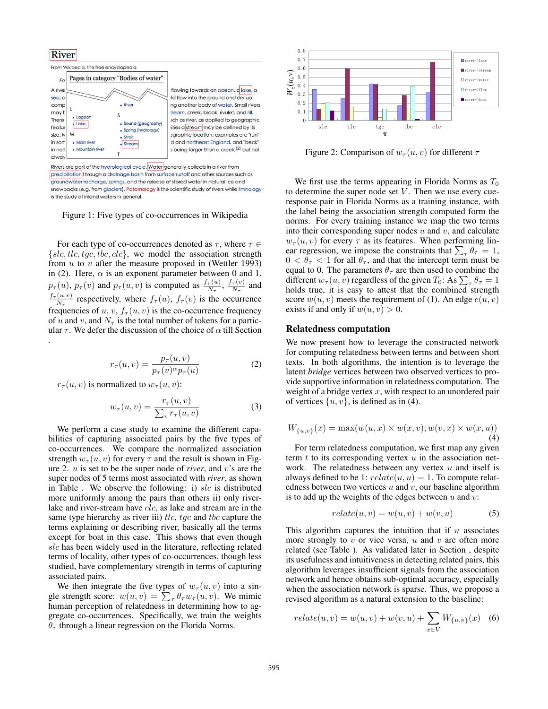## **River**



precipitation through a drainage basin from surface runoff and other sources such as groundwater recharge, springs, and the release of stored water in natural ice and snowpacks (e.g. from glaciers). Potamology is the scientific study of rivers while limnology is the study of inland waters in general.

Figure 1: Five types of co-occurrences in Wikipedia

For each type of co-occurrences denoted as  $\tau$ , where  $\tau \in$  $\{slc, tlc, tgc, tbc, clc\}$ , we model the association strength from  $u$  to  $v$  after the measure proposed in (Wettler 1993) in (2). Here,  $\alpha$  is an exponent parameter between 0 and 1.  $p_{\tau}(u)$ ,  $p_{\tau}(v)$  and  $p_{\tau}(u, v)$  is computed as  $\frac{f_{\tau}(u)}{N_{\tau}}$ ,  $\frac{f_{\tau}(v)}{N_{\tau}}$  $\frac{\tau(v)}{N_{\tau}}$  and  $f_\tau(u,v)$  $\frac{(u,v)}{N_{\tau}}$  respectively, where  $f_{\tau}(u)$ ,  $f_{\tau}(v)$  is the occurrence frequencies of  $u, v, f_{\tau}(u, v)$  is the co-occurrence frequency of u and v, and  $N_\tau$  is the total number of tokens for a particular  $\tau$ . We defer the discussion of the choice of  $\alpha$  till Section .

$$
r_{\tau}(u,v) = \frac{p_{\tau}(u,v)}{p_{\tau}(v)^{\alpha}p_{\tau}(u)}
$$
(2)

 $r_\tau(u, v)$  is normalized to  $w_\tau(u, v)$ :

$$
w_{\tau}(u,v) = \frac{r_{\tau}(u,v)}{\sum_{v} r_{\tau}(u,v)}
$$
(3)

We perform a case study to examine the different capabilities of capturing associated pairs by the five types of co-occurrences. We compare the normalized association strength  $w_{\tau}(u, v)$  for every  $\tau$  and the result is shown in Figure 2. u is set to be the super node of *river*, and v's are the super nodes of 5 terms most associated with *river*, as shown in Table . We observe the following: i)  $slc$  is distributed more uniformly among the pairs than others ii) only riverlake and river-stream have clc, as lake and stream are in the same type hierarchy as river iii)  $tlc$ ,  $tgc$  and  $tbc$  capture the terms explaining or describing river, basically all the terms except for boat in this case. This shows that even though slc has been widely used in the literature, reflecting related terms of locality, other types of co-occurrences, though less studied, have complementary strength in terms of capturing associated pairs.

We then integrate the five types of  $w_\tau(u, v)$  into a single strength score:  $w(u, v) = \sum_{\tau} \theta_{\tau} w_{\tau}(u, v)$ . We mimic human perception of relatedness in determining how to aggregate co-occurrences. Specifically, we train the weights  $\theta_{\tau}$  through a linear regression on the Florida Norms.



Figure 2: Comparison of  $w_\tau(u, v)$  for different  $\tau$ 

We first use the terms appearing in Florida Norms as  $T_0$ to determine the super node set  $V$ . Then we use every cueresponse pair in Florida Norms as a training instance, with the label being the association strength computed form the norms. For every training instance we map the two terms into their corresponding super nodes  $u$  and  $v$ , and calculate  $w_{\tau}(u, v)$  for every  $\tau$  as its features. When performing linear regression, we impose the constraints that  $\sum_{\tau} \theta_{\tau} = 1$ ,  $0 < \theta_{\tau} < 1$  for all  $\theta_{\tau}$ , and that the intercept term must be equal to 0. The parameters  $\theta_{\tau}$  are then used to combine the different  $w_\tau(u, v)$  regardless of the given  $T_0$ : As  $\sum_{\tau} \theta_{\tau} = 1$ holds true, it is easy to attest that the combined strength score  $w(u, v)$  meets the requirement of (1). An edge  $e(u, v)$ exists if and only if  $w(u, v) > 0$ .

#### Relatedness computation

We now present how to leverage the constructed network for computing relatedness between terms and between short texts. In both algorithms, the intention is to leverage the latent *bridge* vertices between two observed vertices to provide supportive information in relatedness computation. The weight of a bridge vertex  $x$ , with respect to an unordered pair of vertices  $\{u, v\}$ , is defined as in (4).

$$
W_{\{u,v\}}(x) = \max(w(u,x) \times w(x,v), w(v,x) \times w(x,u))
$$
  
(4)

For term relatedness computation, we first map any given term  $t$  to its corresponding vertex  $u$  in the association network. The relatedness between any vertex  $u$  and itself is always defined to be 1:  $relate(u, u) = 1$ . To compute relatedness between two vertices  $u$  and  $v$ , our baseline algorithm is to add up the weights of the edges between  $u$  and  $v$ :

$$
relate(u, v) = w(u, v) + w(v, u)
$$
\n<sup>(5)</sup>

This algorithm captures the intuition that if  $u$  associates more strongly to  $v$  or vice versa,  $u$  and  $v$  are often more related (see Table ). As validated later in Section , despite its usefulness and intuitiveness in detecting related pairs, this algorithm leverages insufficient signals from the association network and hence obtains sub-optimal accuracy, especially when the association network is sparse. Thus, we propose a revised algorithm as a natural extension to the baseline:

$$
relate(u, v) = w(u, v) + w(v, u) + \sum_{x \in V} W_{\{u, v\}}(x) \quad (6)
$$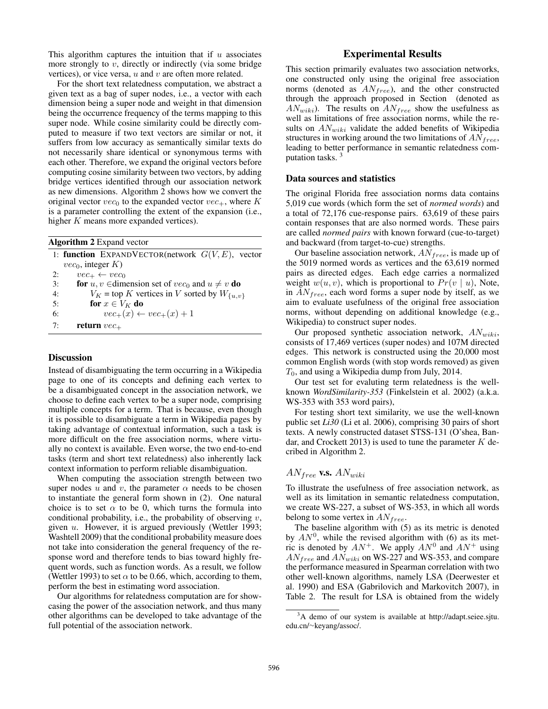This algorithm captures the intuition that if  $u$  associates more strongly to  $v$ , directly or indirectly (via some bridge vertices), or vice versa,  $u$  and  $v$  are often more related.

For the short text relatedness computation, we abstract a given text as a bag of super nodes, i.e., a vector with each dimension being a super node and weight in that dimension being the occurrence frequency of the terms mapping to this super node. While cosine similarity could be directly computed to measure if two text vectors are similar or not, it suffers from low accuracy as semantically similar texts do not necessarily share identical or synonymous terms with each other. Therefore, we expand the original vectors before computing cosine similarity between two vectors, by adding bridge vertices identified through our association network as new dimensions. Algorithm 2 shows how we convert the original vector  $vec_0$  to the expanded vector  $vec_+$ , where K is a parameter controlling the extent of the expansion (i.e., higher  $K$  means more expanded vertices).

|    | <b>Algorithm 2</b> Expand vector                                        |
|----|-------------------------------------------------------------------------|
|    | 1: <b>function</b> EXPANDVECTOR(network $G(V, E)$ , vector              |
|    | $vec_0$ , integer K)                                                    |
| 2: | $vec_+ \leftarrow vec_0$                                                |
| 3: | <b>for</b> $u, v \in$ dimension set of $vec_0$ and $u \neq v$ <b>do</b> |
| 4: | $V_K$ = top K vertices in V sorted by $W_{\{u,v\}}$                     |
| 5: | for $x \in V_K$ do                                                      |
| 6: | $vec_{+}(x) \leftarrow vec_{+}(x) + 1$                                  |
| 7: | return $vec_+$                                                          |

#### **Discussion**

Instead of disambiguating the term occurring in a Wikipedia page to one of its concepts and defining each vertex to be a disambiguated concept in the association network, we choose to define each vertex to be a super node, comprising multiple concepts for a term. That is because, even though it is possible to disambiguate a term in Wikipedia pages by taking advantage of contextual information, such a task is more difficult on the free association norms, where virtually no context is available. Even worse, the two end-to-end tasks (term and short text relatedness) also inherently lack context information to perform reliable disambiguation.

When computing the association strength between two super nodes u and v, the parameter  $\alpha$  needs to be chosen to instantiate the general form shown in (2). One natural choice is to set  $\alpha$  to be 0, which turns the formula into conditional probability, i.e., the probability of observing  $v$ , given  $u$ . However, it is argued previously (Wettler 1993; Washtell 2009) that the conditional probability measure does not take into consideration the general frequency of the response word and therefore tends to bias toward highly frequent words, such as function words. As a result, we follow (Wettler 1993) to set  $\alpha$  to be 0.66, which, according to them, perform the best in estimating word association.

Our algorithms for relatedness computation are for showcasing the power of the association network, and thus many other algorithms can be developed to take advantage of the full potential of the association network.

# Experimental Results

This section primarily evaluates two association networks, one constructed only using the original free association norms (denoted as  $AN_{free}$ ), and the other constructed through the approach proposed in Section (denoted as  $AN_{wiki}$ ). The results on  $AN_{free}$  show the usefulness as well as limitations of free association norms, while the results on  $AN_{wiki}$  validate the added benefits of Wikipedia structures in working around the two limitations of  $AN_{free}$ , leading to better performance in semantic relatedness computation tasks. <sup>3</sup>

### Data sources and statistics

The original Florida free association norms data contains 5,019 cue words (which form the set of *normed words*) and a total of 72,176 cue-response pairs. 63,619 of these pairs contain responses that are also normed words. These pairs are called *normed pairs* with known forward (cue-to-target) and backward (from target-to-cue) strengths.

Our baseline association network,  $AN_{free}$ , is made up of the 5019 normed words as vertices and the 63,619 normed pairs as directed edges. Each edge carries a normalized weight  $w(u, v)$ , which is proportional to  $Pr(v | u)$ , Note, in  $AN_{free}$ , each word forms a super node by itself, as we aim to evaluate usefulness of the original free association norms, without depending on additional knowledge (e.g., Wikipedia) to construct super nodes.

Our proposed synthetic association network,  $AN_{wiki}$ , consists of 17,469 vertices (super nodes) and 107M directed edges. This network is constructed using the 20,000 most common English words (with stop words removed) as given  $T_0$ , and using a Wikipedia dump from July, 2014.

Our test set for evaluting term relatedness is the wellknown *WordSimilarity-353* (Finkelstein et al. 2002) (a.k.a. WS-353 with 353 word pairs),

For testing short text similarity, we use the well-known public set *Li30* (Li et al. 2006), comprising 30 pairs of short texts. A newly constructed dataset STSS-131 (O'shea, Bandar, and Crockett 2013) is used to tune the parameter  $K$  decribed in Algorithm 2.

## $AN_{free}$  v.s.  $AN_{wiki}$

To illustrate the usefulness of free association network, as well as its limitation in semantic relatedness computation, we create WS-227, a subset of WS-353, in which all words belong to some vertex in  $AN_{free}.$ 

The baseline algorithm with (5) as its metric is denoted by  $AN^0$ , while the revised algorithm with (6) as its metric is denoted by  $AN^+$ . We apply  $AN^0$  and  $AN^+$  using  $AN_{free}$  and  $AN_{wiki}$  on WS-227 and WS-353, and compare the performance measured in Spearman correlation with two other well-known algorithms, namely LSA (Deerwester et al. 1990) and ESA (Gabrilovich and Markovitch 2007), in Table 2. The result for LSA is obtained from the widely

<sup>&</sup>lt;sup>3</sup>A demo of our system is available at http://adapt.seiee.sjtu. edu.cn/∼keyang/assoc/.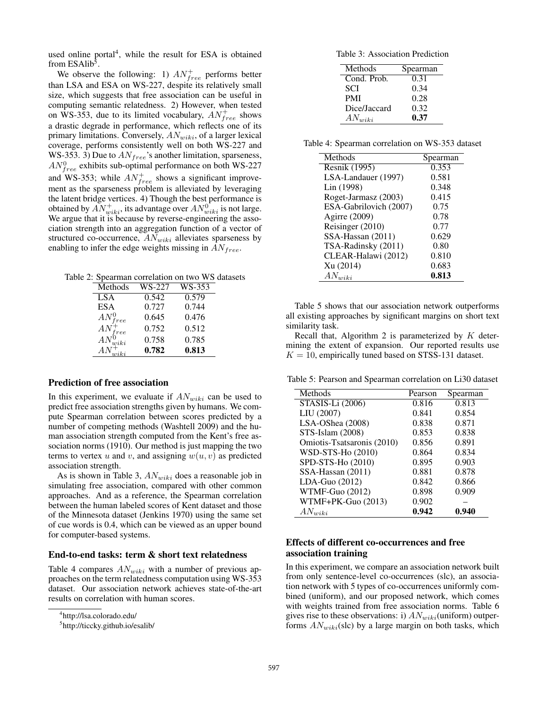used online portal<sup>4</sup>, while the result for ESA is obtained from ESAlib<sup>5</sup>.

We observe the following: 1)  $AN_{free}^+$  performs better than LSA and ESA on WS-227, despite its relatively small size, which suggests that free association can be useful in computing semantic relatedness. 2) However, when tested on WS-353, due to its limited vocabulary,  $AN_{free}^+$  shows a drastic degrade in performance, which reflects one of its primary limitations. Conversely,  $AN_{wiki}$ , of a larger lexical coverage, performs consistently well on both WS-227 and WS-353. 3) Due to  $AN_{free}$ 's another limitation, sparseness,  $AN_{free}^0$  exhibits sub-optimal performance on both WS-227 and WS-353; while  $AN_{free}^+$  shows a significant improvement as the sparseness problem is alleviated by leveraging the latent bridge vertices. 4) Though the best performance is obtained by  $AN^+_{wiki}$ , its advantage over  $AN^0_{wiki}$  is not large. We argue that it is because by reverse-engineering the association strength into an aggregation function of a vector of structured co-occurrence,  $AN_{wiki}$  alleviates sparseness by enabling to infer the edge weights missing in  $AN_{free}$ .

Table 2: Spearman correlation on two WS datasets

| Methods       | WS-227 | WS-353 |
|---------------|--------|--------|
| <b>LSA</b>    | 0.542  | 0.579  |
| <b>ESA</b>    | 0.727  | 0.744  |
| $AN_{free}^0$ | 0.645  | 0.476  |
| $AN_{free}^+$ | 0.752  | 0.512  |
| $AN^0_{wiki}$ | 0.758  | 0.785  |
| ΑN            | 0.782  | 0.813  |

## Prediction of free association

In this experiment, we evaluate if  $AN_{wiki}$  can be used to predict free association strengths given by humans. We compute Spearman correlation between scores predicted by a number of competing methods (Washtell 2009) and the human association strength computed from the Kent's free association norms (1910). Our method is just mapping the two terms to vertex u and v, and assigning  $w(u, v)$  as predicted association strength.

As is shown in Table 3,  $AN_{wiki}$  does a reasonable job in simulating free association, compared with other common approaches. And as a reference, the Spearman correlation between the human labeled scores of Kent dataset and those of the Minnesota dataset (Jenkins 1970) using the same set of cue words is 0.4, which can be viewed as an upper bound for computer-based systems.

#### End-to-end tasks: term & short text relatedness

Table 4 compares  $AN_{wiki}$  with a number of previous approaches on the term relatedness computation using WS-353 dataset. Our association network achieves state-of-the-art results on correlation with human scores.

Table 3: Association Prediction

| Methods      | Spearman |
|--------------|----------|
| Cond. Prob.  | 0.31     |
| <b>SCI</b>   | 0.34     |
| <b>PMI</b>   | 0.28     |
| Dice/Jaccard | 0.32     |
| $AN_{wiki}$  | 0.37     |
|              |          |

Table 4: Spearman correlation on WS-353 dataset

| Spearman |
|----------|
| 0.353    |
| 0.581    |
| 0.348    |
| 0.415    |
| 0.75     |
| 0.78     |
| 0.77     |
| 0.629    |
| 0.80     |
| 0.810    |
| 0.683    |
| 0.813    |
|          |

Table 5 shows that our association network outperforms all existing approaches by significant margins on short text similarity task.

Recall that, Algorithm 2 is parameterized by  $K$  determining the extent of expansion. Our reported results use  $K = 10$ , empirically tuned based on STSS-131 dataset.

Table 5: Pearson and Spearman correlation on Li30 dataset

| Methods                      | Pearson | Spearman |
|------------------------------|---------|----------|
| $STA\overline{SIS-Li(2006)}$ | 0.816   | 0.813    |
| LIU (2007)                   | 0.841   | 0.854    |
| LSA-OShea (2008)             | 0.838   | 0.871    |
| STS-Islam (2008)             | 0.853   | 0.838    |
| Omiotis-Tsatsaronis (2010)   | 0.856   | 0.891    |
| WSD-STS-Ho (2010)            | 0.864   | 0.834    |
| SPD-STS-Ho (2010)            | 0.895   | 0.903    |
| SSA-Hassan (2011)            | 0.881   | 0.878    |
| $LDA-Guo(2012)$              | 0.842   | 0.866    |
| WTMF-Guo (2012)              | 0.898   | 0.909    |
| WTMF+PK-Guo (2013)           | 0.902   |          |
| $AN_{wiki}$                  | 0.942   | 0.940    |

# Effects of different co-occurrences and free association training

In this experiment, we compare an association network built from only sentence-level co-occurrences (slc), an association network with 5 types of co-occurrences uniformly combined (uniform), and our proposed network, which comes with weights trained from free association norms. Table 6 gives rise to these observations: i)  $AN_{wiki}$ (uniform) outperforms  $AN_{wiki}$ (slc) by a large margin on both tasks, which

<sup>4</sup> http://lsa.colorado.edu/

<sup>5</sup> http://ticcky.github.io/esalib/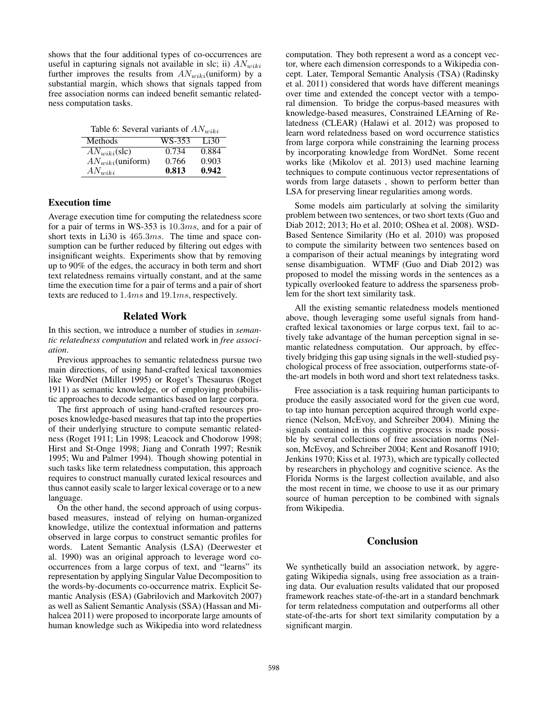shows that the four additional types of co-occurrences are useful in capturing signals not available in slc; ii)  $AN_{wiki}$ further improves the results from  $AN_{wiki}$ (uniform) by a substantial margin, which shows that signals tapped from free association norms can indeed benefit semantic relatedness computation tasks.

|  | Table 6: Several variants of $AN_{wiki}$ |  |  |
|--|------------------------------------------|--|--|
|--|------------------------------------------|--|--|

| Methods                 | WS-353 | Li30  |
|-------------------------|--------|-------|
| $AN_{miki}(\text{slc})$ | 0.734  | 0.884 |
| $AN_{wiki}$ (uniform)   | 0.766  | 0.903 |
| $AN_{wiki}$             | 0.813  | 0.942 |

## Execution time

Average execution time for computing the relatedness score for a pair of terms in WS-353 is 10.3ms, and for a pair of short texts in Li30 is 465.3ms. The time and space consumption can be further reduced by filtering out edges with insignificant weights. Experiments show that by removing up to 90% of the edges, the accuracy in both term and short text relatedness remains virtually constant, and at the same time the execution time for a pair of terms and a pair of short texts are reduced to 1.4ms and 19.1ms, respectively.

## Related Work

In this section, we introduce a number of studies in *semantic relatedness computation* and related work in *free association*.

Previous approaches to semantic relatedness pursue two main directions, of using hand-crafted lexical taxonomies like WordNet (Miller 1995) or Roget's Thesaurus (Roget 1911) as semantic knowledge, or of employing probabilistic approaches to decode semantics based on large corpora.

The first approach of using hand-crafted resources proposes knowledge-based measures that tap into the properties of their underlying structure to compute semantic relatedness (Roget 1911; Lin 1998; Leacock and Chodorow 1998; Hirst and St-Onge 1998; Jiang and Conrath 1997; Resnik 1995; Wu and Palmer 1994). Though showing potential in such tasks like term relatedness computation, this approach requires to construct manually curated lexical resources and thus cannot easily scale to larger lexical coverage or to a new language.

On the other hand, the second approach of using corpusbased measures, instead of relying on human-organized knowledge, utilize the contextual information and patterns observed in large corpus to construct semantic profiles for words. Latent Semantic Analysis (LSA) (Deerwester et al. 1990) was an original approach to leverage word cooccurrences from a large corpus of text, and "learns" its representation by applying Singular Value Decomposition to the words-by-documents co-occurrence matrix. Explicit Semantic Analysis (ESA) (Gabrilovich and Markovitch 2007) as well as Salient Semantic Analysis (SSA) (Hassan and Mihalcea 2011) were proposed to incorporate large amounts of human knowledge such as Wikipedia into word relatedness

computation. They both represent a word as a concept vector, where each dimension corresponds to a Wikipedia concept. Later, Temporal Semantic Analysis (TSA) (Radinsky et al. 2011) considered that words have different meanings over time and extended the concept vector with a temporal dimension. To bridge the corpus-based measures with knowledge-based measures, Constrained LEArning of Relatedness (CLEAR) (Halawi et al. 2012) was proposed to learn word relatedness based on word occurrence statistics from large corpora while constraining the learning process by incorporating knowledge from WordNet. Some recent works like (Mikolov et al. 2013) used machine learning techniques to compute continuous vector representations of words from large datasets , shown to perform better than LSA for preserving linear regularities among words.

Some models aim particularly at solving the similarity problem between two sentences, or two short texts (Guo and Diab 2012; 2013; Ho et al. 2010; OShea et al. 2008). WSD-Based Sentence Similarity (Ho et al. 2010) was proposed to compute the similarity between two sentences based on a comparison of their actual meanings by integrating word sense disambiguation. WTMF (Guo and Diab 2012) was proposed to model the missing words in the sentences as a typically overlooked feature to address the sparseness problem for the short text similarity task.

All the existing semantic relatedness models mentioned above, though leveraging some useful signals from handcrafted lexical taxonomies or large corpus text, fail to actively take advantage of the human perception signal in semantic relatedness computation. Our approach, by effectively bridging this gap using signals in the well-studied psychological process of free association, outperforms state-ofthe-art models in both word and short text relatedness tasks.

Free association is a task requiring human participants to produce the easily associated word for the given cue word, to tap into human perception acquired through world experience (Nelson, McEvoy, and Schreiber 2004). Mining the signals contained in this cognitive process is made possible by several collections of free association norms (Nelson, McEvoy, and Schreiber 2004; Kent and Rosanoff 1910; Jenkins 1970; Kiss et al. 1973), which are typically collected by researchers in phychology and cognitive science. As the Florida Norms is the largest collection available, and also the most recent in time, we choose to use it as our primary source of human perception to be combined with signals from Wikipedia.

# Conclusion

We synthetically build an association network, by aggregating Wikipedia signals, using free association as a training data. Our evaluation results validated that our proposed framework reaches state-of-the-art in a standard benchmark for term relatedness computation and outperforms all other state-of-the-arts for short text similarity computation by a significant margin.